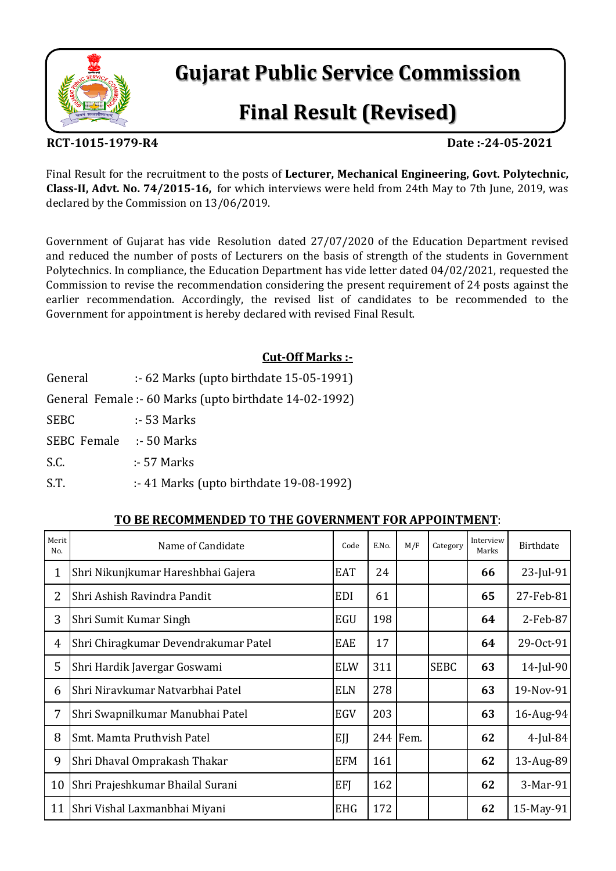

# **Gujarat Public Service Commission**

# **Final Result (Revised)**

#### **RCT-1015-1979-R4 Date :-24-05-2021**

Final Result for the recruitment to the posts of **Lecturer, Mechanical Engineering, Govt. Polytechnic, Class-II, Advt. No. 74/2015-16,** for which interviews were held from 24th May to 7th June, 2019, was declared by the Commission on 13/06/2019.

Government of Gujarat has vide Resolution dated 27/07/2020 of the Education Department revised and reduced the number of posts of Lecturers on the basis of strength of the students in Government Polytechnics. In compliance, the Education Department has vide letter dated 04/02/2021, requested the Commission to revise the recommendation considering the present requirement of 24 posts against the earlier recommendation. Accordingly, the revised list of candidates to be recommended to the Government for appointment is hereby declared with revised Final Result.

### **Cut-Off Marks :-**

| General     | $\div$ 62 Marks (upto birthdate 15-05-1991)            |
|-------------|--------------------------------------------------------|
|             | General Female: - 60 Marks (upto birthdate 14-02-1992) |
| <b>SEBC</b> | $\therefore$ 53 Marks                                  |
| SEBC Female | $\therefore$ 50 Marks                                  |
| S.C.        | $\div$ 57 Marks                                        |
| S.T.        | $\cdot$ 41 Marks (upto birthdate 19-08-1992)           |

#### **TO BE RECOMMENDED TO THE GOVERNMENT FOR APPOINTMENT**:

| Merit<br>No.   | Name of Candidate                    | Code       | E.No. | M/F      | Category    | Interview<br>Marks | Birthdate    |
|----------------|--------------------------------------|------------|-------|----------|-------------|--------------------|--------------|
| 1              | Shri Nikunjkumar Hareshbhai Gajera   | <b>EAT</b> | 24    |          |             | 66                 | $23$ -Jul-91 |
| $\overline{2}$ | Shri Ashish Ravindra Pandit          | <b>EDI</b> | 61    |          |             | 65                 | 27-Feb-81    |
| 3              | Shri Sumit Kumar Singh               | EGU        | 198   |          |             | 64                 | 2-Feb-87     |
| 4              | Shri Chiragkumar Devendrakumar Patel | EAE        | 17    |          |             | 64                 | 29-Oct-91    |
| 5              | Shri Hardik Javergar Goswami         | <b>ELW</b> | 311   |          | <b>SEBC</b> | 63                 | 14-Jul-90    |
| 6              | Shri Niravkumar Natvarbhai Patel     | <b>ELN</b> | 278   |          |             | 63                 | 19-Nov-91    |
| $\overline{7}$ | Shri Swapnilkumar Manubhai Patel     | EGV        | 203   |          |             | 63                 | 16-Aug-94    |
| 8              | Smt. Mamta Pruthvish Patel           | EJJ        |       | 244 Fem. |             | 62                 | $4$ -Jul-84  |
| 9              | Shri Dhaval Omprakash Thakar         | <b>EFM</b> | 161   |          |             | 62                 | 13-Aug-89    |
| 10             | Shri Prajeshkumar Bhailal Surani     | EFI        | 162   |          |             | 62                 | 3-Mar-91     |
| 11             | Shri Vishal Laxmanbhai Miyani        | <b>EHG</b> | 172   |          |             | 62                 | 15-May-91    |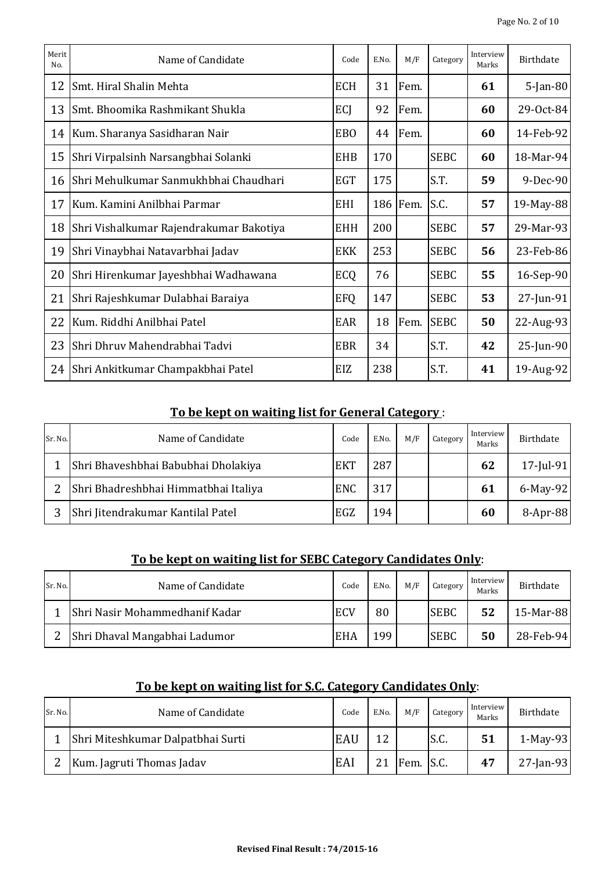| Merit<br>No. | Name of Candidate                       | Code       | E.No. | M/F      | Category    | Interview<br>Marks | <b>Birthdate</b> |
|--------------|-----------------------------------------|------------|-------|----------|-------------|--------------------|------------------|
| 12           | Smt. Hiral Shalin Mehta                 | <b>ECH</b> | 31    | Fem.     |             | 61                 | $5$ -Jan-80      |
| 13           | Smt. Bhoomika Rashmikant Shukla         | ECJ        | 92    | Fem.     |             | 60                 | 29-Oct-84        |
| 14           | Kum. Sharanya Sasidharan Nair           | <b>EBO</b> | 44    | Fem.     |             | 60                 | 14-Feb-92        |
| 15           | Shri Virpalsinh Narsangbhai Solanki     | <b>EHB</b> | 170   |          | <b>SEBC</b> | 60                 | 18-Mar-94        |
| 16           | Shri Mehulkumar Sanmukhbhai Chaudhari   | <b>EGT</b> | 175   |          | S.T.        | 59                 | 9-Dec-90         |
| 17           | Kum. Kamini Anilbhai Parmar             | <b>EHI</b> |       | 186 Fem. | S.C.        | 57                 | 19-May-88        |
| 18           | Shri Vishalkumar Rajendrakumar Bakotiya | <b>EHH</b> | 200   |          | <b>SEBC</b> | 57                 | 29-Mar-93        |
| 19           | Shri Vinaybhai Natavarbhai Jadav        | <b>EKK</b> | 253   |          | <b>SEBC</b> | 56                 | 23-Feb-86        |
| 20           | Shri Hirenkumar Jayeshbhai Wadhawana    | ECQ        | 76    |          | <b>SEBC</b> | 55                 | 16-Sep-90        |
| 21           | Shri Rajeshkumar Dulabhai Baraiya       | <b>EFQ</b> | 147   |          | <b>SEBC</b> | 53                 | $27$ -Jun-91     |
| 22           | Kum. Riddhi Anilbhai Patel              | EAR        | 18    | Fem.     | <b>SEBC</b> | 50                 | 22-Aug-93        |
| 23           | Shri Dhruv Mahendrabhai Tadvi           | <b>EBR</b> | 34    |          | S.T.        | 42                 | 25-Jun-90        |
|              | 24 Shri Ankitkumar Champakbhai Patel    | EIZ        | 238   |          | S.T.        | 41                 | 19-Aug-92        |

#### **To be kept on waiting list for General Category** :

| Sr. No.       | Name of Candidate                    | Code       | E.No. | M/F | Category | Interview<br>Marks | Birthdate    |
|---------------|--------------------------------------|------------|-------|-----|----------|--------------------|--------------|
|               | Shri Bhaveshbhai Babubhai Dholakiya  | <b>EKT</b> | 287   |     |          | 62                 | $17$ -Jul-91 |
| $\mathcal{D}$ | Shri Bhadreshbhai Himmatbhai Italiya | <b>ENC</b> | 317   |     |          | 61                 | 6-May-92     |
|               | Shri Jitendrakumar Kantilal Patel    | EGZ        | 194   |     |          | 60                 | 8-Apr-88     |

#### **To be kept on waiting list for SEBC Category Candidates Only**:

| Sr. No. | Name of Candidate              | Code       | E.No. | M/F | Category    | Interview<br>Marks | Birthdate |
|---------|--------------------------------|------------|-------|-----|-------------|--------------------|-----------|
|         | Shri Nasir Mohammedhanif Kadar | <b>ECV</b> | 80    |     | <b>SEBC</b> | 52                 | 15-Mar-88 |
| ∍       | Shri Dhaval Mangabhai Ladumor  | EHA        | 199   |     | <b>SEBC</b> | 50                 | 28-Feb-94 |

#### **To be kept on waiting list for S.C. Category Candidates Only**:

| Sr. No. | Name of Candidate                 | Code | E.No. | M/F       | Category | Interview<br>Marks | Birthdate    |
|---------|-----------------------------------|------|-------|-----------|----------|--------------------|--------------|
|         | Shri Miteshkumar Dalpatbhai Surti | EAU  | 12    |           | S.C.     | 51                 | $1-May-93$   |
|         | Kum. Jagruti Thomas Jadav         | EAI  | 21    | Fem. S.C. |          | 47                 | $27$ -Jan-93 |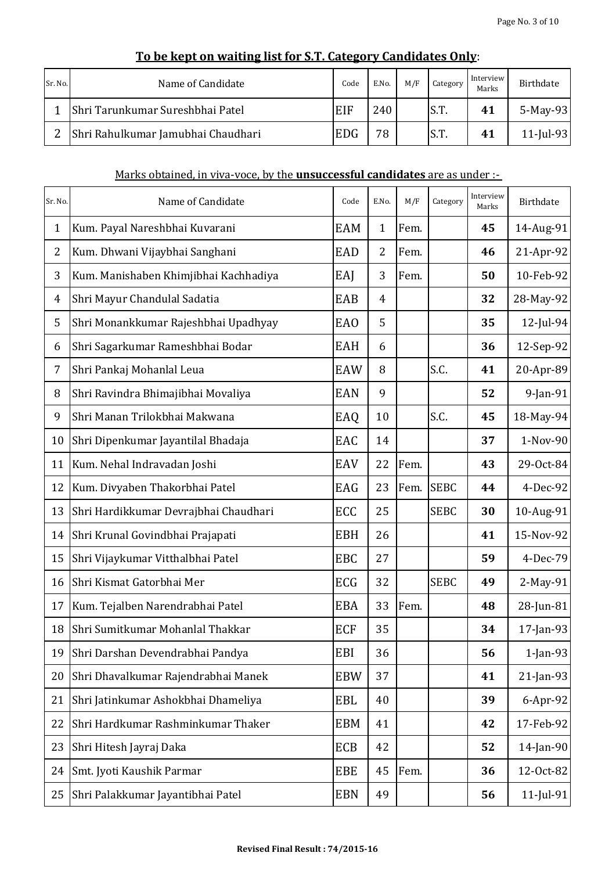| Sr. No. | Name of Candidate                  | Code       | E.No. | M/F | Category | Interview<br>Marks | <b>Birthdate</b> |
|---------|------------------------------------|------------|-------|-----|----------|--------------------|------------------|
|         | Shri Tarunkumar Sureshbhai Patel   | EIF        | 240   |     | S.T.     | 41                 | 5-May-93         |
| 2       | Shri Rahulkumar Jamubhai Chaudhari | <b>EDG</b> | 78    |     | S.T.     | 41                 | $11$ -Jul-93     |

## **To be kept on waiting list for S.T. Category Candidates Only**:

#### Marks obtained, in viva-voce, by the **unsuccessful candidates** are as under :-

| Sr. No.        | Name of Candidate                     | Code       | E.No.          | M/F  | Category    | Interview<br>Marks | <b>Birthdate</b> |
|----------------|---------------------------------------|------------|----------------|------|-------------|--------------------|------------------|
| $\mathbf 1$    | Kum. Payal Nareshbhai Kuvarani        | EAM        | $\mathbf 1$    | Fem. |             | 45                 | 14-Aug-91        |
| 2              | Kum. Dhwani Vijaybhai Sanghani        | EAD        | $\overline{2}$ | Fem. |             | 46                 | 21-Apr-92        |
| 3              | Kum. Manishaben Khimjibhai Kachhadiya | EAJ        | 3              | Fem. |             | 50                 | 10-Feb-92        |
| $\overline{4}$ | Shri Mayur Chandulal Sadatia          | EAB        | 4              |      |             | 32                 | 28-May-92        |
| 5              | Shri Monankkumar Rajeshbhai Upadhyay  | <b>EAO</b> | 5              |      |             | 35                 | 12-Jul-94        |
| 6              | Shri Sagarkumar Rameshbhai Bodar      | EAH        | 6              |      |             | 36                 | 12-Sep-92        |
| 7              | Shri Pankaj Mohanlal Leua             | EAW        | 8              |      | S.C.        | 41                 | 20-Apr-89        |
| 8              | Shri Ravindra Bhimajibhai Movaliya    | <b>EAN</b> | 9              |      |             | 52                 | 9-Jan-91         |
| 9              | Shri Manan Trilokbhai Makwana         | EAQ        | 10             |      | S.C.        | 45                 | 18-May-94        |
| 10             | Shri Dipenkumar Jayantilal Bhadaja    | EAC        | 14             |      |             | 37                 | 1-Nov-90         |
| 11             | Kum. Nehal Indravadan Joshi           | EAV        | 22             | Fem. |             | 43                 | 29-Oct-84        |
| 12             | Kum. Divyaben Thakorbhai Patel        | EAG        | 23             | Fem. | <b>SEBC</b> | 44                 | 4-Dec-92         |
| 13             | Shri Hardikkumar Devrajbhai Chaudhari | ECC        | 25             |      | <b>SEBC</b> | 30                 | 10-Aug-91        |
| 14             | Shri Krunal Govindbhai Prajapati      | <b>EBH</b> | 26             |      |             | 41                 | 15-Nov-92        |
| 15             | Shri Vijaykumar Vitthalbhai Patel     | EBC        | 27             |      |             | 59                 | 4-Dec-79         |
| 16             | Shri Kismat Gatorbhai Mer             | ECG        | 32             |      | <b>SEBC</b> | 49                 | 2-May-91         |
| 17             | Kum. Tejalben Narendrabhai Patel      | <b>EBA</b> | 33             | Fem. |             | 48                 | 28-Jun-81        |
| 18             | Shri Sumitkumar Mohanlal Thakkar      | <b>ECF</b> | 35             |      |             | 34                 | 17-Jan-93        |
| 19             | Shri Darshan Devendrabhai Pandya      | EBI        | 36             |      |             | 56                 | $1$ -Jan-93      |
| 20             | Shri Dhavalkumar Rajendrabhai Manek   | <b>EBW</b> | 37             |      |             | 41                 | 21-Jan-93        |
| 21             | Shri Jatinkumar Ashokbhai Dhameliya   | EBL        | 40             |      |             | 39                 | $6$ -Apr-92      |
| 22             | Shri Hardkumar Rashminkumar Thaker    | <b>EBM</b> | 41             |      |             | 42                 | 17-Feb-92        |
| 23             | Shri Hitesh Jayraj Daka               | ECB        | 42             |      |             | 52                 | 14-Jan-90        |
| 24             | Smt. Jyoti Kaushik Parmar             | EBE        | 45             | Fem. |             | 36                 | 12-Oct-82        |
| 25             | Shri Palakkumar Jayantibhai Patel     | <b>EBN</b> | 49             |      |             | 56                 | $11$ -Jul-91     |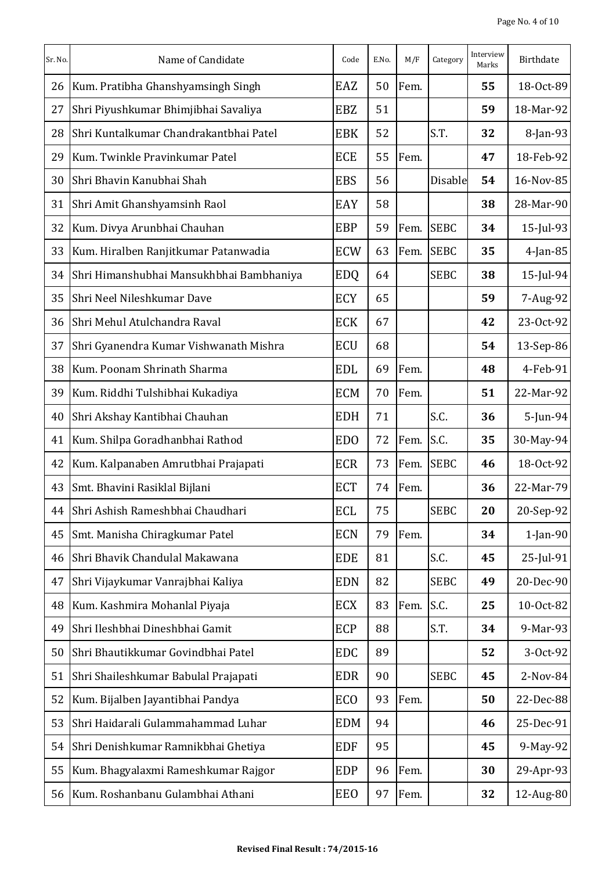| Sr. No. | Name of Candidate                        | Code            | E.No. | M/F  | Category    | Interview<br>Marks | Birthdate   |
|---------|------------------------------------------|-----------------|-------|------|-------------|--------------------|-------------|
| 26      | Kum. Pratibha Ghanshyamsingh Singh       | EAZ             | 50    | Fem. |             | 55                 | 18-Oct-89   |
| 27      | Shri Piyushkumar Bhimjibhai Savaliya     | EBZ             | 51    |      |             | 59                 | 18-Mar-92   |
| 28      | Shri Kuntalkumar Chandrakantbhai Patel   | <b>EBK</b>      | 52    |      | S.T.        | 32                 | 8-Jan-93    |
| 29      | Kum. Twinkle Pravinkumar Patel           | <b>ECE</b>      | 55    | Fem. |             | 47                 | 18-Feb-92   |
| 30      | Shri Bhavin Kanubhai Shah                | <b>EBS</b>      | 56    |      | Disable     | 54                 | 16-Nov-85   |
| 31      | Shri Amit Ghanshyamsinh Raol             | EAY             | 58    |      |             | 38                 | 28-Mar-90   |
| 32      | Kum. Divya Arunbhai Chauhan              | <b>EBP</b>      | 59    | Fem. | <b>SEBC</b> | 34                 | 15-Jul-93   |
| 33      | Kum. Hiralben Ranjitkumar Patanwadia     | <b>ECW</b>      | 63    | Fem. | <b>SEBC</b> | 35                 | 4-Jan-85    |
| 34      | Shri Himanshubhai Mansukhbhai Bambhaniya | <b>EDQ</b>      | 64    |      | <b>SEBC</b> | 38                 | 15-Jul-94   |
| 35      | Shri Neel Nileshkumar Dave               | ECY             | 65    |      |             | 59                 | 7-Aug-92    |
| 36      | Shri Mehul Atulchandra Raval             | <b>ECK</b>      | 67    |      |             | 42                 | 23-Oct-92   |
| 37      | Shri Gyanendra Kumar Vishwanath Mishra   | ECU             | 68    |      |             | 54                 | 13-Sep-86   |
| 38      | Kum. Poonam Shrinath Sharma              | <b>EDL</b>      | 69    | Fem. |             | 48                 | 4-Feb-91    |
| 39      | Kum. Riddhi Tulshibhai Kukadiya          | <b>ECM</b>      | 70    | Fem. |             | 51                 | 22-Mar-92   |
| 40      | Shri Akshay Kantibhai Chauhan            | <b>EDH</b>      | 71    |      | S.C.        | 36                 | 5-Jun-94    |
| 41      | Kum. Shilpa Goradhanbhai Rathod          | <b>EDO</b>      | 72    | Fem. | S.C.        | 35                 | 30-May-94   |
| 42      | Kum. Kalpanaben Amrutbhai Prajapati      | ECR             | 73    | Fem. | <b>SEBC</b> | 46                 | 18-Oct-92   |
| 43      | Smt. Bhavini Rasiklal Bijlani            | <b>ECT</b>      | 74    | Fem. |             | 36                 | 22-Mar-79   |
| 44      | Shri Ashish Rameshbhai Chaudhari         | ECL             | 75    |      | <b>SEBC</b> | 20                 | 20-Sep-92   |
| 45      | Smt. Manisha Chiragkumar Patel           | <b>ECN</b>      | 79    | Fem. |             | 34                 | $1$ -Jan-90 |
| 46      | Shri Bhavik Chandulal Makawana           | <b>EDE</b>      | 81    |      | S.C.        | 45                 | 25-Jul-91   |
| 47      | Shri Vijaykumar Vanrajbhai Kaliya        | <b>EDN</b>      | 82    |      | <b>SEBC</b> | 49                 | 20-Dec-90   |
| 48      | Kum. Kashmira Mohanlal Piyaja            | <b>ECX</b>      | 83    | Fem. | S.C.        | 25                 | 10-Oct-82   |
| 49      | Shri Ileshbhai Dineshbhai Gamit          | <b>ECP</b>      | 88    |      | S.T.        | 34                 | 9-Mar-93    |
| 50      | Shri Bhautikkumar Govindbhai Patel       | <b>EDC</b>      | 89    |      |             | 52                 | 3-Oct-92    |
| 51      | Shri Shaileshkumar Babulal Prajapati     | <b>EDR</b>      | 90    |      | <b>SEBC</b> | 45                 | 2-Nov-84    |
| 52      | Kum. Bijalben Jayantibhai Pandya         | EC <sub>O</sub> | 93    | Fem. |             | 50                 | 22-Dec-88   |
| 53      | Shri Haidarali Gulammahammad Luhar       | <b>EDM</b>      | 94    |      |             | 46                 | 25-Dec-91   |
| 54      | Shri Denishkumar Ramnikbhai Ghetiya      | <b>EDF</b>      | 95    |      |             | 45                 | 9-May-92    |
| 55      | Kum. Bhagyalaxmi Rameshkumar Rajgor      | <b>EDP</b>      | 96    | Fem. |             | 30                 | 29-Apr-93   |
| 56      | Kum. Roshanbanu Gulambhai Athani         | EEO             | 97    | Fem. |             | 32                 | 12-Aug-80   |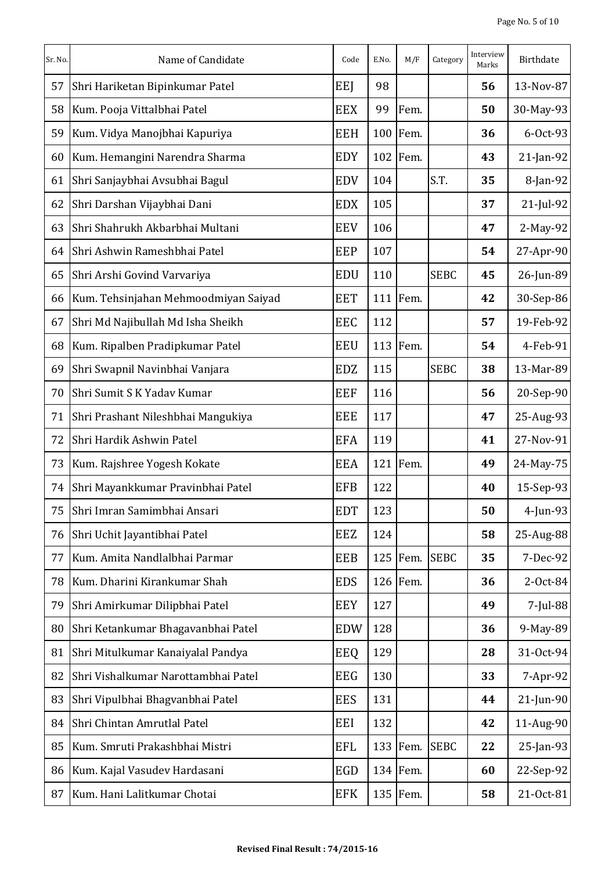| Sr. No. | Name of Candidate                    | Code       | E.No. | M/F      | Category    | Interview<br>Marks | Birthdate    |
|---------|--------------------------------------|------------|-------|----------|-------------|--------------------|--------------|
| 57      | Shri Hariketan Bipinkumar Patel      | EEJ        | 98    |          |             | 56                 | 13-Nov-87    |
| 58      | Kum. Pooja Vittalbhai Patel          | <b>EEX</b> | 99    | Fem.     |             | 50                 | 30-May-93    |
| 59      | Kum. Vidya Manojbhai Kapuriya        | <b>EEH</b> |       | 100 Fem. |             | 36                 | $6-0ct-93$   |
| 60      | Kum. Hemangini Narendra Sharma       | <b>EDY</b> |       | 102 Fem. |             | 43                 | $21$ -Jan-92 |
| 61      | Shri Sanjaybhai Avsubhai Bagul       | <b>EDV</b> | 104   |          | S.T.        | 35                 | $8$ -Jan-92  |
| 62      | Shri Darshan Vijaybhai Dani          | <b>EDX</b> | 105   |          |             | 37                 | $21$ -Jul-92 |
| 63      | Shri Shahrukh Akbarbhai Multani      | <b>EEV</b> | 106   |          |             | 47                 | $2-May-92$   |
| 64      | Shri Ashwin Rameshbhai Patel         | EEP        | 107   |          |             | 54                 | 27-Apr-90    |
| 65      | Shri Arshi Govind Varvariya          | <b>EDU</b> | 110   |          | <b>SEBC</b> | 45                 | 26-Jun-89    |
| 66      | Kum. Tehsinjahan Mehmoodmiyan Saiyad | <b>EET</b> |       | 111 Fem. |             | 42                 | 30-Sep-86    |
| 67      | Shri Md Najibullah Md Isha Sheikh    | EEC        | 112   |          |             | 57                 | 19-Feb-92    |
| 68      | Kum. Ripalben Pradipkumar Patel      | <b>EEU</b> |       | 113 Fem. |             | 54                 | 4-Feb-91     |
| 69      | Shri Swapnil Navinbhai Vanjara       | <b>EDZ</b> | 115   |          | <b>SEBC</b> | 38                 | 13-Mar-89    |
| 70      | Shri Sumit S K Yadav Kumar           | <b>EEF</b> | 116   |          |             | 56                 | 20-Sep-90    |
| 71      | Shri Prashant Nileshbhai Mangukiya   | <b>EEE</b> | 117   |          |             | 47                 | 25-Aug-93    |
| 72      | Shri Hardik Ashwin Patel             | <b>EFA</b> | 119   |          |             | 41                 | 27-Nov-91    |
| 73      | Kum. Rajshree Yogesh Kokate          | <b>EEA</b> |       | 121 Fem. |             | 49                 | 24-May-75    |
| 74      | Shri Mayankkumar Pravinbhai Patel    | EFB        | 122   |          |             | 40                 | 15-Sep-93    |
| 75      | Shri Imran Samimbhai Ansari          | <b>EDT</b> | 123   |          |             | 50                 | $4$ -Jun-93  |
| 76      | Shri Uchit Jayantibhai Patel         | <b>EEZ</b> | 124   |          |             | 58                 | 25-Aug-88    |
| 77      | Kum. Amita Nandlalbhai Parmar        | EEB        |       | 125 Fem. | <b>SEBC</b> | 35                 | $7-Dec-92$   |
| 78      | Kum. Dharini Kirankumar Shah         | <b>EDS</b> |       | 126 Fem. |             | 36                 | 2-Oct-84     |
| 79      | Shri Amirkumar Dilipbhai Patel       | <b>EEY</b> | 127   |          |             | 49                 | 7-Jul-88     |
| 80      | Shri Ketankumar Bhagavanbhai Patel   | <b>EDW</b> | 128   |          |             | 36                 | 9-May-89     |
| 81      | Shri Mitulkumar Kanaiyalal Pandya    | EEQ        | 129   |          |             | 28                 | 31-Oct-94    |
| 82      | Shri Vishalkumar Narottambhai Patel  | <b>EEG</b> | 130   |          |             | 33                 | $7-Apr-92$   |
| 83      | Shri Vipulbhai Bhagvanbhai Patel     | <b>EES</b> | 131   |          |             | 44                 | $21$ -Jun-90 |
| 84      | Shri Chintan Amrutlal Patel          | EEI        | 132   |          |             | 42                 | 11-Aug-90    |
| 85      | Kum. Smruti Prakashbhai Mistri       | <b>EFL</b> |       | 133 Fem. | <b>SEBC</b> | 22                 | $25$ -Jan-93 |
| 86      | Kum. Kajal Vasudev Hardasani         | EGD        |       | 134 Fem. |             | 60                 | 22-Sep-92    |
| 87      | Kum. Hani Lalitkumar Chotai          | <b>EFK</b> |       | 135 Fem. |             | 58                 | 21-Oct-81    |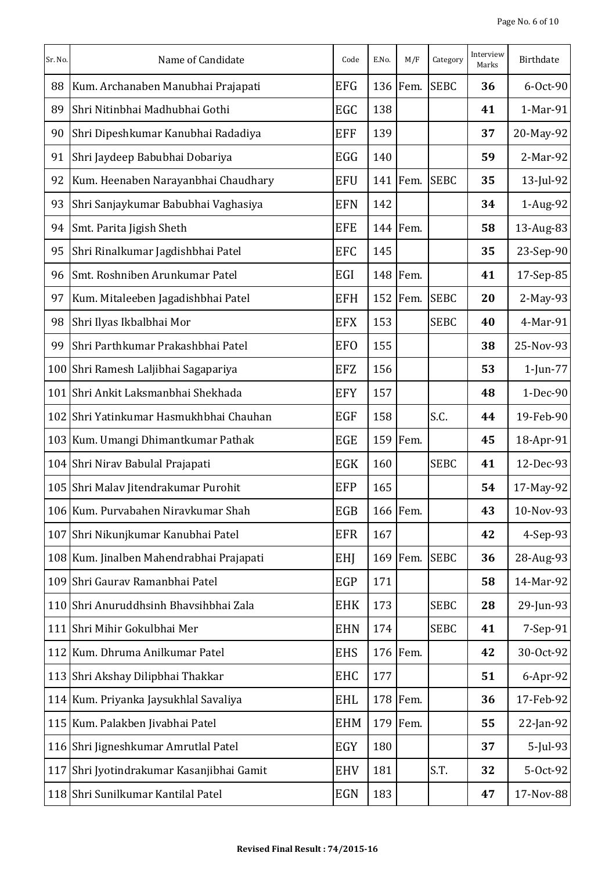| Sr. No. | Name of Candidate                        | Code       | E.No. | M/F      | Category    | Interview<br>Marks | Birthdate   |
|---------|------------------------------------------|------------|-------|----------|-------------|--------------------|-------------|
| 88      | Kum. Archanaben Manubhai Prajapati       | <b>EFG</b> |       | 136 Fem. | <b>SEBC</b> | 36                 | 6-Oct-90    |
| 89      | Shri Nitinbhai Madhubhai Gothi           | EGC        | 138   |          |             | 41                 | 1-Mar-91    |
| 90      | Shri Dipeshkumar Kanubhai Radadiya       | <b>EFF</b> | 139   |          |             | 37                 | 20-May-92   |
| 91      | Shri Jaydeep Babubhai Dobariya           | EGG        | 140   |          |             | 59                 | 2-Mar-92    |
| 92      | Kum. Heenaben Narayanbhai Chaudhary      | <b>EFU</b> |       | 141 Fem. | <b>SEBC</b> | 35                 | 13-Jul-92   |
| 93      | Shri Sanjaykumar Babubhai Vaghasiya      | <b>EFN</b> | 142   |          |             | 34                 | 1-Aug-92    |
| 94      | Smt. Parita Jigish Sheth                 | EFE        |       | 144 Fem. |             | 58                 | 13-Aug-83   |
| 95      | Shri Rinalkumar Jagdishbhai Patel        | EFC        | 145   |          |             | 35                 | 23-Sep-90   |
| 96      | Smt. Roshniben Arunkumar Patel           | EGI        |       | 148 Fem. |             | 41                 | 17-Sep-85   |
| 97      | Kum. Mitaleeben Jagadishbhai Patel       | <b>EFH</b> |       | 152 Fem. | <b>SEBC</b> | 20                 | 2-May-93    |
| 98      | Shri Ilyas Ikbalbhai Mor                 | <b>EFX</b> | 153   |          | <b>SEBC</b> | 40                 | 4-Mar-91    |
| 99      | Shri Parthkumar Prakashbhai Patel        | <b>EFO</b> | 155   |          |             | 38                 | 25-Nov-93   |
| 100     | Shri Ramesh Laljibhai Sagapariya         | EFZ        | 156   |          |             | 53                 | $1$ -Jun-77 |
| 101     | Shri Ankit Laksmanbhai Shekhada          | <b>EFY</b> | 157   |          |             | 48                 | 1-Dec-90    |
| 102     | Shri Yatinkumar Hasmukhbhai Chauhan      | <b>EGF</b> | 158   |          | S.C.        | 44                 | 19-Feb-90   |
| 103     | Kum. Umangi Dhimantkumar Pathak          | <b>EGE</b> |       | 159 Fem. |             | 45                 | 18-Apr-91   |
|         | 104 Shri Nirav Babulal Prajapati         | EGK        | 160   |          | <b>SEBC</b> | 41                 | 12-Dec-93   |
|         | 105 Shri Malav Jitendrakumar Purohit     | EFP        | 165   |          |             | 54                 | 17-May-92   |
|         | 106 Kum. Purvabahen Niravkumar Shah      | EGB        |       | 166 Fem. |             | 43                 | 10-Nov-93   |
| 107     | Shri Nikunjkumar Kanubhai Patel          | <b>EFR</b> | 167   |          |             | 42                 | 4-Sep-93    |
|         | 108 Kum. Jinalben Mahendrabhai Prajapati | <b>EHJ</b> |       | 169 Fem. | <b>SEBC</b> | 36                 | 28-Aug-93   |
|         | 109 Shri Gaurav Ramanbhai Patel          | EGP        | 171   |          |             | 58                 | 14-Mar-92   |
| 110     | Shri Anuruddhsinh Bhavsihbhai Zala       | <b>EHK</b> | 173   |          | <b>SEBC</b> | 28                 | 29-Jun-93   |
| 111     | Shri Mihir Gokulbhai Mer                 | <b>EHN</b> | 174   |          | <b>SEBC</b> | 41                 | 7-Sep-91    |
|         | 112 Kum. Dhruma Anilkumar Patel          | <b>EHS</b> |       | 176 Fem. |             | 42                 | 30-Oct-92   |
| 113     | Shri Akshay Dilipbhai Thakkar            | <b>EHC</b> | 177   |          |             | 51                 | 6-Apr-92    |
|         | 114 Kum. Priyanka Jaysukhlal Savaliya    | <b>EHL</b> |       | 178 Fem. |             | 36                 | 17-Feb-92   |
|         | 115 Kum. Palakben Jivabhai Patel         | <b>EHM</b> |       | 179 Fem. |             | 55                 | 22-Jan-92   |
|         | 116 Shri Jigneshkumar Amrutlal Patel     | EGY        | 180   |          |             | 37                 | 5-Jul-93    |
| 117     | Shri Jyotindrakumar Kasanjibhai Gamit    | <b>EHV</b> | 181   |          | S.T.        | 32                 | 5-Oct-92    |
|         | 118 Shri Sunilkumar Kantilal Patel       | <b>EGN</b> | 183   |          |             | 47                 | 17-Nov-88   |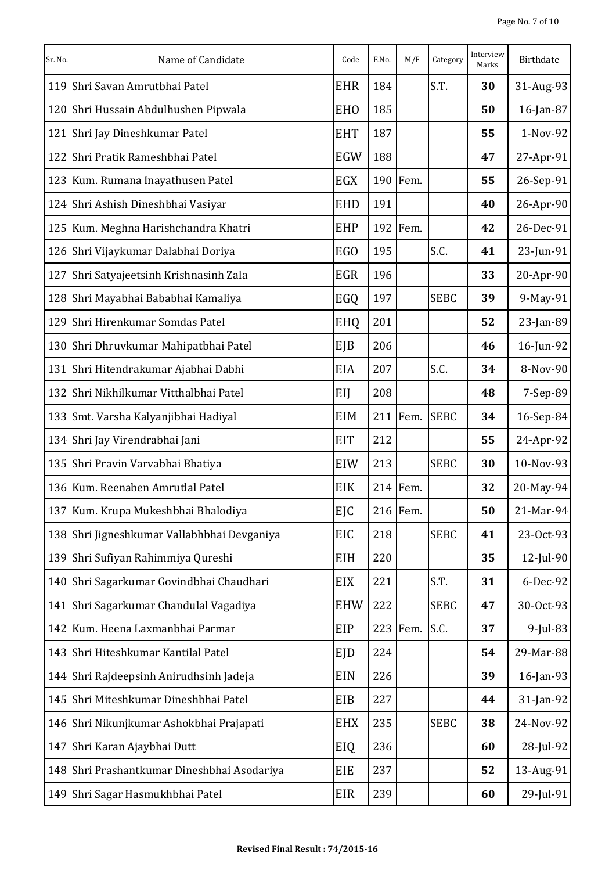| Sr. No. | Name of Candidate                           | Code       | E.No. | M/F      | Category    | Interview<br>Marks | <b>Birthdate</b> |
|---------|---------------------------------------------|------------|-------|----------|-------------|--------------------|------------------|
|         | 119 Shri Savan Amrutbhai Patel              | <b>EHR</b> | 184   |          | S.T.        | 30                 | 31-Aug-93        |
| 120     | Shri Hussain Abdulhushen Pipwala            | <b>EHO</b> | 185   |          |             | 50                 | 16-Jan-87        |
| 121     | Shri Jay Dineshkumar Patel                  | <b>EHT</b> | 187   |          |             | 55                 | 1-Nov-92         |
| 122     | Shri Pratik Rameshbhai Patel                | EGW        | 188   |          |             | 47                 | 27-Apr-91        |
|         | 123 Kum. Rumana Inayathusen Patel           | EGX        |       | 190 Fem. |             | 55                 | 26-Sep-91        |
|         | 124 Shri Ashish Dineshbhai Vasiyar          | <b>EHD</b> | 191   |          |             | 40                 | 26-Apr-90        |
|         | 125 Kum. Meghna Harishchandra Khatri        | <b>EHP</b> |       | 192 Fem. |             | 42                 | 26-Dec-91        |
|         | 126 Shri Vijaykumar Dalabhai Doriya         | <b>EGO</b> | 195   |          | S.C.        | 41                 | 23-Jun-91        |
| 127     | Shri Satyajeetsinh Krishnasinh Zala         | <b>EGR</b> | 196   |          |             | 33                 | 20-Apr-90        |
|         | 128 Shri Mayabhai Bababhai Kamaliya         | EGQ        | 197   |          | <b>SEBC</b> | 39                 | 9-May-91         |
| 129     | Shri Hirenkumar Somdas Patel                | <b>EHQ</b> | 201   |          |             | 52                 | 23-Jan-89        |
|         | 130 Shri Dhruvkumar Mahipatbhai Patel       | EJB        | 206   |          |             | 46                 | 16-Jun-92        |
| 131     | Shri Hitendrakumar Ajabhai Dabhi            | EIA        | 207   |          | S.C.        | 34                 | 8-Nov-90         |
| 132     | Shri Nikhilkumar Vitthalbhai Patel          | EIJ        | 208   |          |             | 48                 | $7-Sep-89$       |
|         | 133 Smt. Varsha Kalyanjibhai Hadiyal        | EIM        |       | 211 Fem. | <b>SEBC</b> | 34                 | 16-Sep-84        |
|         | 134 Shri Jay Virendrabhai Jani              | <b>EIT</b> | 212   |          |             | 55                 | 24-Apr-92        |
|         | 135 Shri Pravin Varvabhai Bhatiya           | EIW        | 213   |          | <b>SEBC</b> | 30                 | 10-Nov-93        |
|         | 136 Kum. Reenaben Amrutlal Patel            | EIK        |       | 214 Fem. |             | 32                 | 20-May-94        |
|         | 137 Kum. Krupa Mukeshbhai Bhalodiya         | <b>EJC</b> |       | 216 Fem. |             | 50                 | 21-Mar-94        |
|         | 138 Shri Jigneshkumar Vallabhbhai Devganiya | EIC        | 218   |          | <b>SEBC</b> | 41                 | 23-Oct-93        |
|         | 139 Shri Sufiyan Rahimmiya Qureshi          | EIH        | 220   |          |             | 35                 | $12$ -Jul-90     |
|         | 140 Shri Sagarkumar Govindbhai Chaudhari    | EIX        | 221   |          | S.T.        | 31                 | $6$ -Dec-92      |
|         | 141 Shri Sagarkumar Chandulal Vagadiya      | <b>EHW</b> | 222   |          | <b>SEBC</b> | 47                 | 30-Oct-93        |
|         | 142 Kum. Heena Laxmanbhai Parmar            | <b>EIP</b> |       | 223 Fem. | S.C.        | 37                 | 9-Jul-83         |
|         | 143 Shri Hiteshkumar Kantilal Patel         | EJD        | 224   |          |             | 54                 | 29-Mar-88        |
|         | 144 Shri Rajdeepsinh Anirudhsinh Jadeja     | EIN        | 226   |          |             | 39                 | 16-Jan-93        |
|         | 145 Shri Miteshkumar Dineshbhai Patel       | EIB        | 227   |          |             | 44                 | 31-Jan-92        |
|         | 146 Shri Nikunjkumar Ashokbhai Prajapati    | <b>EHX</b> | 235   |          | <b>SEBC</b> | 38                 | 24-Nov-92        |
|         | 147 Shri Karan Ajaybhai Dutt                | EIQ        | 236   |          |             | 60                 | 28-Jul-92        |
|         | 148 Shri Prashantkumar Dineshbhai Asodariya | EIE        | 237   |          |             | 52                 | 13-Aug-91        |
|         | 149 Shri Sagar Hasmukhbhai Patel            | EIR        | 239   |          |             | 60                 | $29$ -Jul-91     |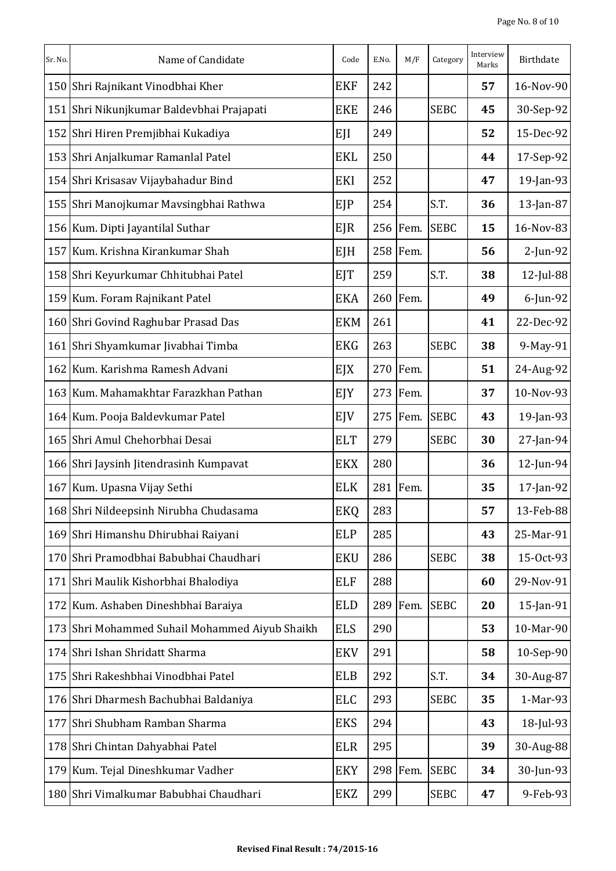| Sr. No. | Name of Candidate                          | Code       | E.No. | M/F      | Category    | Interview<br>Marks | Birthdate    |
|---------|--------------------------------------------|------------|-------|----------|-------------|--------------------|--------------|
|         | 150 Shri Rajnikant Vinodbhai Kher          | <b>EKF</b> | 242   |          |             | 57                 | 16-Nov-90    |
|         | 151 Shri Nikunjkumar Baldevbhai Prajapati  | <b>EKE</b> | 246   |          | <b>SEBC</b> | 45                 | 30-Sep-92    |
| 152     | Shri Hiren Premjibhai Kukadiya             | EJI        | 249   |          |             | 52                 | 15-Dec-92    |
|         | 153 Shri Anjalkumar Ramanlal Patel         | <b>EKL</b> | 250   |          |             | 44                 | 17-Sep-92    |
|         | 154 Shri Krisasav Vijaybahadur Bind        | EKI        | 252   |          |             | 47                 | $19$ -Jan-93 |
|         | 155 Shri Manojkumar Mavsingbhai Rathwa     | EJP        | 254   |          | S.T.        | 36                 | 13-Jan-87    |
|         | 156 Kum. Dipti Jayantilal Suthar           | EJR        |       | 256 Fem. | <b>SEBC</b> | 15                 | 16-Nov-83    |
|         | 157 Kum. Krishna Kirankumar Shah           | EJH        |       | 258 Fem. |             | 56                 | $2$ -Jun-92  |
|         | 158 Shri Keyurkumar Chhitubhai Patel       | <b>EJT</b> | 259   |          | S.T.        | 38                 | $12$ -Jul-88 |
|         | 159 Kum. Foram Rajnikant Patel             | <b>EKA</b> |       | 260 Fem. |             | 49                 | $6$ -Jun-92  |
|         | 160 Shri Govind Raghubar Prasad Das        | <b>EKM</b> | 261   |          |             | 41                 | 22-Dec-92    |
|         | 161 Shri Shyamkumar Jivabhai Timba         | <b>EKG</b> | 263   |          | <b>SEBC</b> | 38                 | 9-May-91     |
| 162     | Kum. Karishma Ramesh Advani                | EJX        |       | 270 Fem. |             | 51                 | 24-Aug-92    |
|         | 163 Kum. Mahamakhtar Farazkhan Pathan      | EJY        |       | 273 Fem. |             | 37                 | 10-Nov-93    |
|         | 164 Kum. Pooja Baldevkumar Patel           | EJV        |       | 275 Fem. | <b>SEBC</b> | 43                 | 19-Jan-93    |
|         | 165 Shri Amul Chehorbhai Desai             | <b>ELT</b> | 279   |          | <b>SEBC</b> | 30                 | $27$ -Jan-94 |
|         | 166 Shri Jaysinh Jitendrasinh Kumpavat     | <b>EKX</b> | 280   |          |             | 36                 | $12$ -Jun-94 |
|         | 167 Kum. Upasna Vijay Sethi                | <b>ELK</b> |       | 281 Fem. |             | 35                 | 17-Jan-92    |
|         | 168 Shri Nildeepsinh Nirubha Chudasama     | EKQ        | 283   |          |             | 57                 | 13-Feb-88    |
|         | 169 Shri Himanshu Dhirubhai Raiyani        | <b>ELP</b> | 285   |          |             | 43                 | 25-Mar-91    |
| 170     | Shri Pramodbhai Babubhai Chaudhari         | <b>EKU</b> | 286   |          | <b>SEBC</b> | 38                 | 15-Oct-93    |
|         | 171 Shri Maulik Kishorbhai Bhalodiya       | ELF        | 288   |          |             | 60                 | 29-Nov-91    |
| 172     | Kum. Ashaben Dineshbhai Baraiya            | <b>ELD</b> |       | 289 Fem. | <b>SEBC</b> | 20                 | 15-Jan-91    |
| 173     | Shri Mohammed Suhail Mohammed Aiyub Shaikh | <b>ELS</b> | 290   |          |             | 53                 | 10-Mar-90    |
|         | 174 Shri Ishan Shridatt Sharma             | <b>EKV</b> | 291   |          |             | 58                 | 10-Sep-90    |
| 175     | Shri Rakeshbhai Vinodbhai Patel            | <b>ELB</b> | 292   |          | S.T.        | 34                 | 30-Aug-87    |
|         | 176 Shri Dharmesh Bachubhai Baldaniya      | ELC        | 293   |          | <b>SEBC</b> | 35                 | 1-Mar-93     |
| 177     | Shri Shubham Ramban Sharma                 | <b>EKS</b> | 294   |          |             | 43                 | $18$ -Jul-93 |
|         | 178 Shri Chintan Dahyabhai Patel           | <b>ELR</b> | 295   |          |             | 39                 | 30-Aug-88    |
|         | 179 Kum. Tejal Dineshkumar Vadher          | <b>EKY</b> |       | 298 Fem. | <b>SEBC</b> | 34                 | 30-Jun-93    |
|         | 180 Shri Vimalkumar Babubhai Chaudhari     | EKZ        | 299   |          | <b>SEBC</b> | 47                 | $9$ -Feb-93  |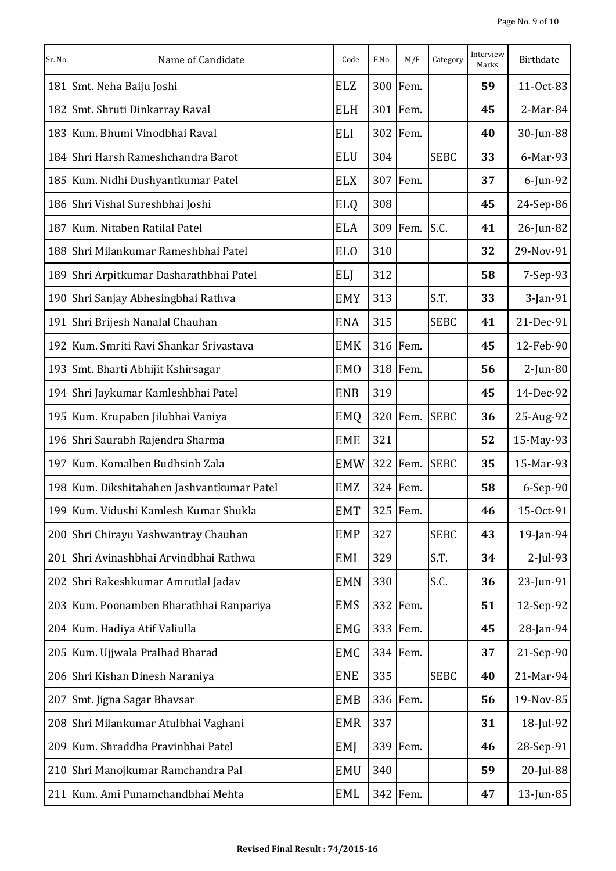| Sr. No. | Name of Candidate                          | Code       | E.No. | M/F      | Category    | Interview<br>Marks | Birthdate   |
|---------|--------------------------------------------|------------|-------|----------|-------------|--------------------|-------------|
| 181     | Smt. Neha Baiju Joshi                      | <b>ELZ</b> |       | 300 Fem. |             | 59                 | 11-Oct-83   |
| 182     | Smt. Shruti Dinkarray Raval                | <b>ELH</b> |       | 301 Fem. |             | 45                 | 2-Mar-84    |
| 183     | Kum. Bhumi Vinodbhai Raval                 | ELI        | 302   | Fem.     |             | 40                 | 30-Jun-88   |
|         | 184 Shri Harsh Rameshchandra Barot         | <b>ELU</b> | 304   |          | <b>SEBC</b> | 33                 | 6-Mar-93    |
|         | 185 Kum. Nidhi Dushyantkumar Patel         | <b>ELX</b> |       | 307 Fem. |             | 37                 | $6$ -Jun-92 |
|         | 186 Shri Vishal Sureshbhai Joshi           | <b>ELQ</b> | 308   |          |             | 45                 | 24-Sep-86   |
| 187     | Kum. Nitaben Ratilal Patel                 | <b>ELA</b> |       | 309 Fem. | S.C.        | 41                 | 26-Jun-82   |
|         | 188 Shri Milankumar Rameshbhai Patel       | <b>ELO</b> | 310   |          |             | 32                 | 29-Nov-91   |
| 189     | Shri Arpitkumar Dasharathbhai Patel        | ELJ        | 312   |          |             | 58                 | 7-Sep-93    |
|         | 190 Shri Sanjay Abhesingbhai Rathva        | <b>EMY</b> | 313   |          | S.T.        | 33                 | 3-Jan-91    |
| 191     | Shri Brijesh Nanalal Chauhan               | <b>ENA</b> | 315   |          | <b>SEBC</b> | 41                 | 21-Dec-91   |
| 192     | Kum. Smriti Ravi Shankar Srivastava        | <b>EMK</b> |       | 316 Fem. |             | 45                 | 12-Feb-90   |
| 193     | Smt. Bharti Abhijit Kshirsagar             | <b>EMO</b> |       | 318 Fem. |             | 56                 | $2$ -Jun-80 |
| 194     | Shri Jaykumar Kamleshbhai Patel            | <b>ENB</b> | 319   |          |             | 45                 | 14-Dec-92   |
|         | 195 Kum. Krupaben Jilubhai Vaniya          | EMQ        |       | 320 Fem. | <b>SEBC</b> | 36                 | 25-Aug-92   |
|         | 196 Shri Saurabh Rajendra Sharma           | <b>EME</b> | 321   |          |             | 52                 | 15-May-93   |
| 197     | Kum. Komalben Budhsinh Zala                | <b>EMW</b> |       | 322 Fem. | <b>SEBC</b> | 35                 | 15-Mar-93   |
|         | 198 Kum. Dikshitabahen Jashvantkumar Patel | EMZ        |       | 324 Fem. |             | 58                 | 6-Sep-90    |
|         | 199 Kum. Vidushi Kamlesh Kumar Shukla      | <b>EMT</b> |       | 325 Fem. |             | 46                 | 15-Oct-91   |
|         | 200 Shri Chirayu Yashwantray Chauhan       | <b>EMP</b> | 327   |          | <b>SEBC</b> | 43                 | 19-Jan-94   |
| 201     | Shri Avinashbhai Arvindbhai Rathwa         | EMI        | 329   |          | S.T.        | 34                 | $2$ -Jul-93 |
|         | 202 Shri Rakeshkumar Amrutlal Jadav        | <b>EMN</b> | 330   |          | S.C.        | 36                 | 23-Jun-91   |
| 203     | Kum. Poonamben Bharatbhai Ranpariya        | <b>EMS</b> |       | 332 Fem. |             | 51                 | 12-Sep-92   |
|         | 204 Kum. Hadiya Atif Valiulla              | <b>EMG</b> |       | 333 Fem. |             | 45                 | 28-Jan-94   |
|         | 205 Kum. Ujjwala Pralhad Bharad            | EMC        |       | 334 Fem. |             | 37                 | 21-Sep-90   |
|         | 206 Shri Kishan Dinesh Naraniya            | <b>ENE</b> | 335   |          | <b>SEBC</b> | 40                 | 21-Mar-94   |
| 207     | Smt. Jigna Sagar Bhavsar                   | EMB        |       | 336 Fem. |             | 56                 | 19-Nov-85   |
|         | 208 Shri Milankumar Atulbhai Vaghani       | <b>EMR</b> | 337   |          |             | 31                 | 18-Jul-92   |
|         | 209 Kum. Shraddha Pravinbhai Patel         | EMJ        |       | 339 Fem. |             | 46                 | 28-Sep-91   |
|         | 210 Shri Manojkumar Ramchandra Pal         | <b>EMU</b> | 340   |          |             | 59                 | 20-Jul-88   |
|         | 211 Kum. Ami Punamchandbhai Mehta          | EML        |       | 342 Fem. |             | 47                 | 13-Jun-85   |